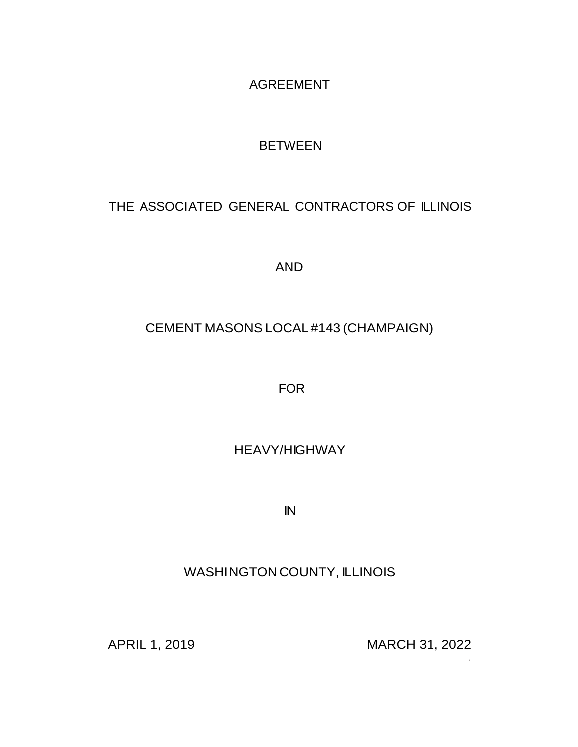AGREEMENT

## BETWEEN

# THE ASSOCIATED GENERAL CONTRACTORS OF ILLINOIS

AND

## CEMENT MASONS LOCAL #143 (CHAMPAIGN)

FOR

# HEAVY/HIGHWAY

IN

## WASHINGTON COUNTY, ILLINOIS

APRIL 1, 2019 MARCH 31, 2022

·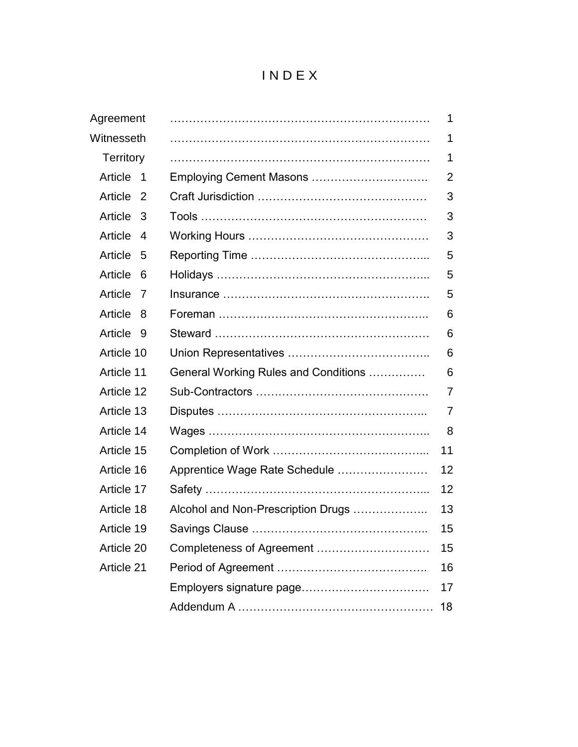# I N D E X

| Agreement                           |                                      | 1              |
|-------------------------------------|--------------------------------------|----------------|
| Witnesseth                          |                                      | 1              |
| <b>Territory</b>                    |                                      | $\mathbf 1$    |
| Article<br>$\overline{\phantom{1}}$ |                                      | $\overline{2}$ |
| Article<br>- 2                      |                                      | 3              |
| Article 3                           |                                      | 3              |
| Article<br>4                        |                                      | 3              |
| Article<br>- 5                      |                                      | 5              |
| Article<br>6                        |                                      | 5              |
| Article<br>7                        |                                      | 5              |
| Article<br>- 8                      |                                      | 6              |
| Article 9                           |                                      | 6              |
| Article 10                          |                                      | 6              |
| Article 11                          | General Working Rules and Conditions | 6              |
| Article 12                          |                                      | $\overline{7}$ |
| Article 13                          |                                      | 7              |
| Article 14                          |                                      | 8              |
| Article 15                          |                                      | 11             |
| Article 16                          | Apprentice Wage Rate Schedule        | 12             |
| Article 17                          |                                      | 12             |
| Article 18                          | Alcohol and Non-Prescription Drugs   | 13             |
| Article 19                          |                                      | 15             |
| Article 20                          | Completeness of Agreement            | 15             |
| Article 21                          |                                      | 16             |
|                                     |                                      | 17             |
|                                     |                                      | 18             |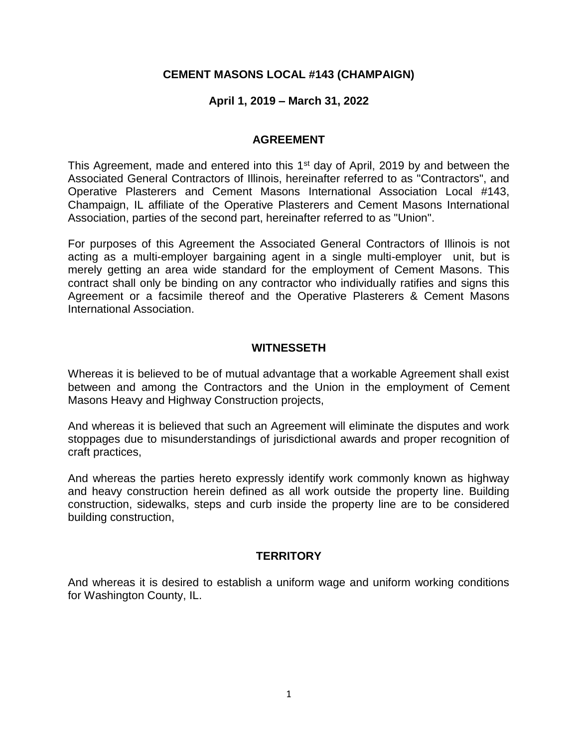## **CEMENT MASONS LOCAL #143 (CHAMPAIGN)**

## **April 1, 2019 – March 31, 2022**

#### **AGREEMENT**

This Agreement, made and entered into this 1<sup>st</sup> day of April, 2019 by and between the Associated General Contractors of Illinois, hereinafter referred to as "Contractors", and Operative Plasterers and Cement Masons International Association Local #143, Champaign, IL affiliate of the Operative Plasterers and Cement Masons International Association, parties of the second part, hereinafter referred to as "Union".

For purposes of this Agreement the Associated General Contractors of Illinois is not acting as a multi-employer bargaining agent in a single multi-employer unit, but is merely getting an area wide standard for the employment of Cement Masons. This contract shall only be binding on any contractor who individually ratifies and signs this Agreement or a facsimile thereof and the Operative Plasterers & Cement Masons International Association.

#### **WITNESSETH**

Whereas it is believed to be of mutual advantage that a workable Agreement shall exist between and among the Contractors and the Union in the employment of Cement Masons Heavy and Highway Construction projects,

And whereas it is believed that such an Agreement will eliminate the disputes and work stoppages due to misunderstandings of jurisdictional awards and proper recognition of craft practices,

And whereas the parties hereto expressly identify work commonly known as highway and heavy construction herein defined as all work outside the property line. Building construction, sidewalks, steps and curb inside the property line are to be considered building construction,

#### **TERRITORY**

And whereas it is desired to establish a uniform wage and uniform working conditions for Washington County, IL.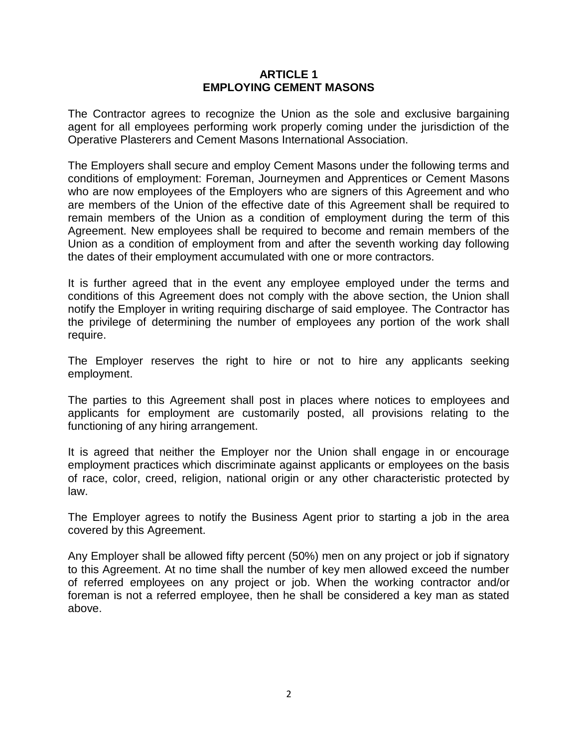#### **ARTICLE 1 EMPLOYING CEMENT MASONS**

The Contractor agrees to recognize the Union as the sole and exclusive bargaining agent for all employees performing work properly coming under the jurisdiction of the Operative Plasterers and Cement Masons International Association.

The Employers shall secure and employ Cement Masons under the following terms and conditions of employment: Foreman, Journeymen and Apprentices or Cement Masons who are now employees of the Employers who are signers of this Agreement and who are members of the Union of the effective date of this Agreement shall be required to remain members of the Union as a condition of employment during the term of this Agreement. New employees shall be required to become and remain members of the Union as a condition of employment from and after the seventh working day following the dates of their employment accumulated with one or more contractors.

It is further agreed that in the event any employee employed under the terms and conditions of this Agreement does not comply with the above section, the Union shall notify the Employer in writing requiring discharge of said employee. The Contractor has the privilege of determining the number of employees any portion of the work shall require.

The Employer reserves the right to hire or not to hire any applicants seeking employment.

The parties to this Agreement shall post in places where notices to employees and applicants for employment are customarily posted, all provisions relating to the functioning of any hiring arrangement.

It is agreed that neither the Employer nor the Union shall engage in or encourage employment practices which discriminate against applicants or employees on the basis of race, color, creed, religion, national origin or any other characteristic protected by law.

The Employer agrees to notify the Business Agent prior to starting a job in the area covered by this Agreement.

Any Employer shall be allowed fifty percent (50%) men on any project or job if signatory to this Agreement. At no time shall the number of key men allowed exceed the number of referred employees on any project or job. When the working contractor and/or foreman is not a referred employee, then he shall be considered a key man as stated above.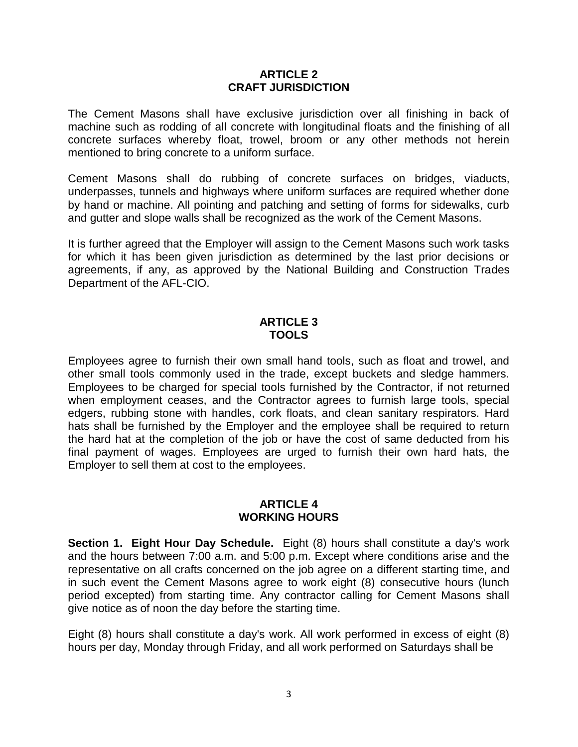#### **ARTICLE 2 CRAFT JURISDICTION**

The Cement Masons shall have exclusive jurisdiction over all finishing in back of machine such as rodding of all concrete with longitudinal floats and the finishing of all concrete surfaces whereby float, trowel, broom or any other methods not herein mentioned to bring concrete to a uniform surface.

Cement Masons shall do rubbing of concrete surfaces on bridges, viaducts, underpasses, tunnels and highways where uniform surfaces are required whether done by hand or machine. All pointing and patching and setting of forms for sidewalks, curb and gutter and slope walls shall be recognized as the work of the Cement Masons.

It is further agreed that the Employer will assign to the Cement Masons such work tasks for which it has been given jurisdiction as determined by the last prior decisions or agreements, if any, as approved by the National Building and Construction Trades Department of the AFL-CIO.

#### **ARTICLE 3 TOOLS**

Employees agree to furnish their own small hand tools, such as float and trowel, and other small tools commonly used in the trade, except buckets and sledge hammers. Employees to be charged for special tools furnished by the Contractor, if not returned when employment ceases, and the Contractor agrees to furnish large tools, special edgers, rubbing stone with handles, cork floats, and clean sanitary respirators. Hard hats shall be furnished by the Employer and the employee shall be required to return the hard hat at the completion of the job or have the cost of same deducted from his final payment of wages. Employees are urged to furnish their own hard hats, the Employer to sell them at cost to the employees.

## **ARTICLE 4 WORKING HOURS**

**Section 1. Eight Hour Day Schedule.** Eight (8) hours shall constitute a day's work and the hours between 7:00 a.m. and 5:00 p.m. Except where conditions arise and the representative on all crafts concerned on the job agree on a different starting time, and in such event the Cement Masons agree to work eight (8) consecutive hours (lunch period excepted) from starting time. Any contractor calling for Cement Masons shall give notice as of noon the day before the starting time.

Eight (8) hours shall constitute a day's work. All work performed in excess of eight (8) hours per day, Monday through Friday, and all work performed on Saturdays shall be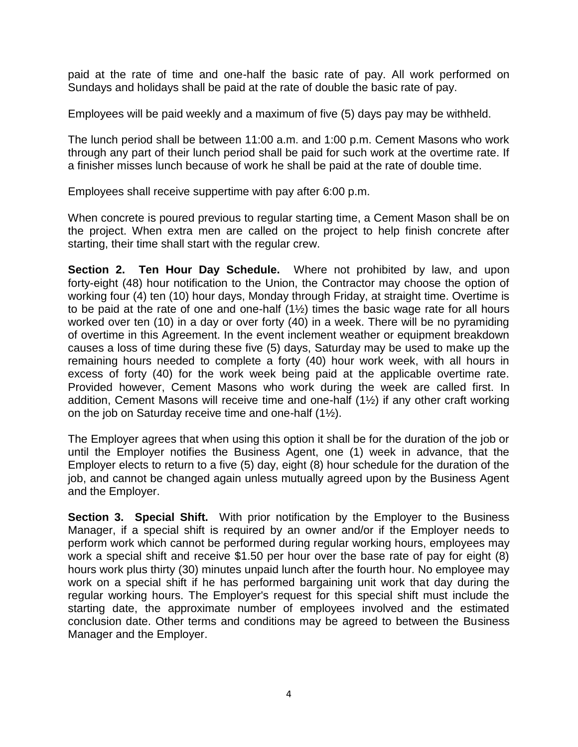paid at the rate of time and one-half the basic rate of pay. All work performed on Sundays and holidays shall be paid at the rate of double the basic rate of pay.

Employees will be paid weekly and a maximum of five (5) days pay may be withheld.

The lunch period shall be between 11:00 a.m. and 1:00 p.m. Cement Masons who work through any part of their lunch period shall be paid for such work at the overtime rate. If a finisher misses lunch because of work he shall be paid at the rate of double time.

Employees shall receive suppertime with pay after 6:00 p.m.

When concrete is poured previous to regular starting time, a Cement Mason shall be on the project. When extra men are called on the project to help finish concrete after starting, their time shall start with the regular crew.

**Section 2. Ten Hour Day Schedule.** Where not prohibited by law, and upon forty-eight (48) hour notification to the Union, the Contractor may choose the option of working four (4) ten (10) hour days, Monday through Friday, at straight time. Overtime is to be paid at the rate of one and one-half (1½) times the basic wage rate for all hours worked over ten (10) in a day or over forty (40) in a week. There will be no pyramiding of overtime in this Agreement. In the event inclement weather or equipment breakdown causes a loss of time during these five (5) days, Saturday may be used to make up the remaining hours needed to complete a forty (40) hour work week, with all hours in excess of forty (40) for the work week being paid at the applicable overtime rate. Provided however, Cement Masons who work during the week are called first. In addition, Cement Masons will receive time and one-half (1½) if any other craft working on the job on Saturday receive time and one-half (1½).

The Employer agrees that when using this option it shall be for the duration of the job or until the Employer notifies the Business Agent, one (1) week in advance, that the Employer elects to return to a five (5) day, eight (8) hour schedule for the duration of the job, and cannot be changed again unless mutually agreed upon by the Business Agent and the Employer.

**Section 3. Special Shift.** With prior notification by the Employer to the Business Manager, if a special shift is required by an owner and/or if the Employer needs to perform work which cannot be performed during regular working hours, employees may work a special shift and receive \$1.50 per hour over the base rate of pay for eight (8) hours work plus thirty (30) minutes unpaid lunch after the fourth hour. No employee may work on a special shift if he has performed bargaining unit work that day during the regular working hours. The Employer's request for this special shift must include the starting date, the approximate number of employees involved and the estimated conclusion date. Other terms and conditions may be agreed to between the Business Manager and the Employer.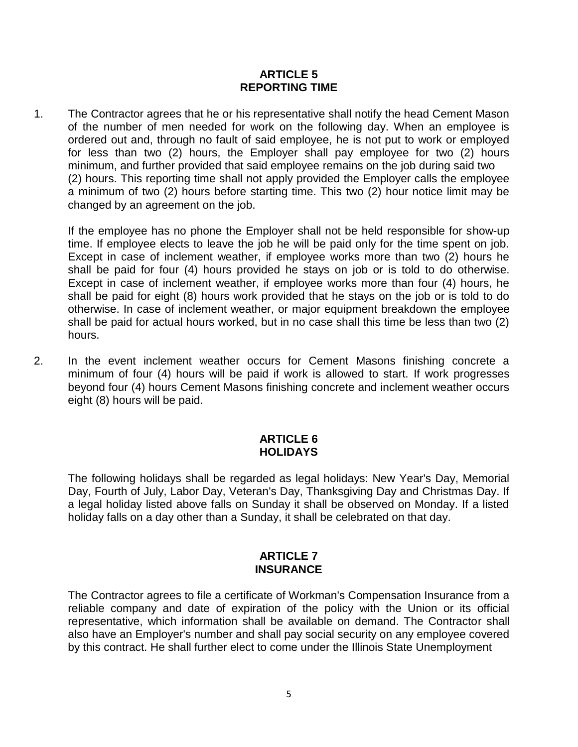## **ARTICLE 5 REPORTING TIME**

1. The Contractor agrees that he or his representative shall notify the head Cement Mason of the number of men needed for work on the following day. When an employee is ordered out and, through no fault of said employee, he is not put to work or employed for less than two (2) hours, the Employer shall pay employee for two (2) hours minimum, and further provided that said employee remains on the job during said two (2) hours. This reporting time shall not apply provided the Employer calls the employee a minimum of two (2) hours before starting time. This two (2) hour notice limit may be changed by an agreement on the job.

If the employee has no phone the Employer shall not be held responsible for show-up time. If employee elects to leave the job he will be paid only for the time spent on job. Except in case of inclement weather, if employee works more than two (2) hours he shall be paid for four (4) hours provided he stays on job or is told to do otherwise. Except in case of inclement weather, if employee works more than four (4) hours, he shall be paid for eight (8) hours work provided that he stays on the job or is told to do otherwise. In case of inclement weather, or major equipment breakdown the employee shall be paid for actual hours worked, but in no case shall this time be less than two (2) hours.

2. In the event inclement weather occurs for Cement Masons finishing concrete a minimum of four (4) hours will be paid if work is allowed to start. If work progresses beyond four (4) hours Cement Masons finishing concrete and inclement weather occurs eight (8) hours will be paid.

## **ARTICLE 6 HOLIDAYS**

The following holidays shall be regarded as legal holidays: New Year's Day, Memorial Day, Fourth of July, Labor Day, Veteran's Day, Thanksgiving Day and Christmas Day. If a legal holiday listed above falls on Sunday it shall be observed on Monday. If a listed holiday falls on a day other than a Sunday, it shall be celebrated on that day.

#### **ARTICLE 7 INSURANCE**

The Contractor agrees to file a certificate of Workman's Compensation Insurance from a reliable company and date of expiration of the policy with the Union or its official representative, which information shall be available on demand. The Contractor shall also have an Employer's number and shall pay social security on any employee covered by this contract. He shall further elect to come under the Illinois State Unemployment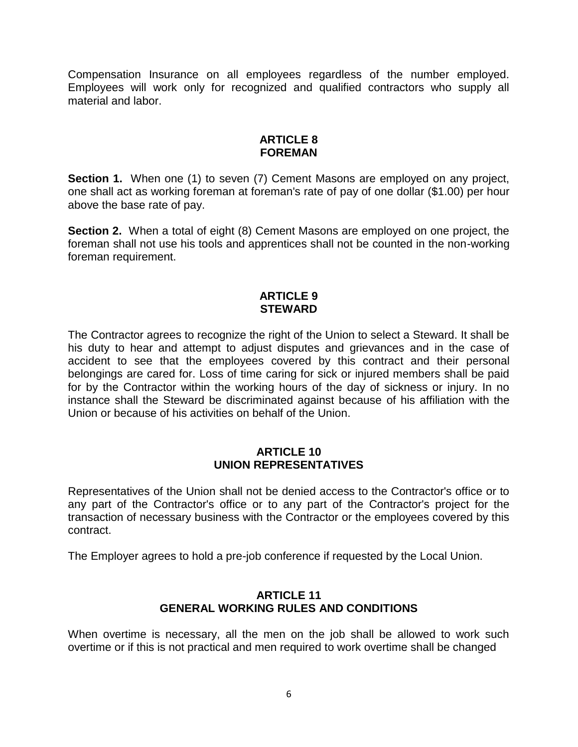Compensation Insurance on all employees regardless of the number employed. Employees will work only for recognized and qualified contractors who supply all material and labor.

## **ARTICLE 8 FOREMAN**

**Section 1.** When one (1) to seven (7) Cement Masons are employed on any project, one shall act as working foreman at foreman's rate of pay of one dollar (\$1.00) per hour above the base rate of pay.

**Section 2.** When a total of eight (8) Cement Masons are employed on one project, the foreman shall not use his tools and apprentices shall not be counted in the non-working foreman requirement.

## **ARTICLE 9 STEWARD**

The Contractor agrees to recognize the right of the Union to select a Steward. It shall be his duty to hear and attempt to adjust disputes and grievances and in the case of accident to see that the employees covered by this contract and their personal belongings are cared for. Loss of time caring for sick or injured members shall be paid for by the Contractor within the working hours of the day of sickness or injury. In no instance shall the Steward be discriminated against because of his affiliation with the Union or because of his activities on behalf of the Union.

## **ARTICLE 10 UNION REPRESENTATIVES**

Representatives of the Union shall not be denied access to the Contractor's office or to any part of the Contractor's office or to any part of the Contractor's project for the transaction of necessary business with the Contractor or the employees covered by this contract.

The Employer agrees to hold a pre-job conference if requested by the Local Union.

## **ARTICLE 11 GENERAL WORKING RULES AND CONDITIONS**

When overtime is necessary, all the men on the job shall be allowed to work such overtime or if this is not practical and men required to work overtime shall be changed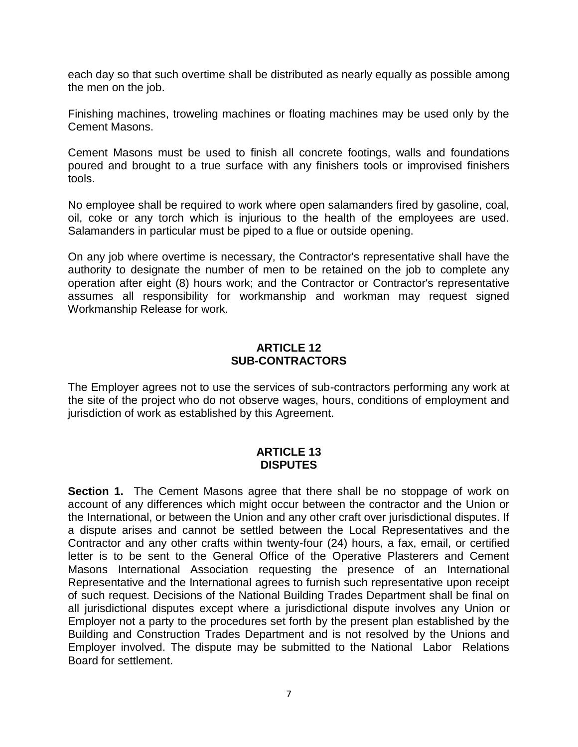each day so that such overtime shall be distributed as nearly equally as possible among the men on the job.

Finishing machines, troweling machines or floating machines may be used only by the Cement Masons.

Cement Masons must be used to finish all concrete footings, walls and foundations poured and brought to a true surface with any finishers tools or improvised finishers tools.

No employee shall be required to work where open salamanders fired by gasoline, coal, oil, coke or any torch which is injurious to the health of the employees are used. Salamanders in particular must be piped to a flue or outside opening.

On any job where overtime is necessary, the Contractor's representative shall have the authority to designate the number of men to be retained on the job to complete any operation after eight (8) hours work; and the Contractor or Contractor's representative assumes all responsibility for workmanship and workman may request signed Workmanship Release for work.

## **ARTICLE 12 SUB-CONTRACTORS**

The Employer agrees not to use the services of sub-contractors performing any work at the site of the project who do not observe wages, hours, conditions of employment and jurisdiction of work as established by this Agreement.

## **ARTICLE 13 DISPUTES**

**Section 1.** The Cement Masons agree that there shall be no stoppage of work on account of any differences which might occur between the contractor and the Union or the International, or between the Union and any other craft over jurisdictional disputes. If a dispute arises and cannot be settled between the Local Representatives and the Contractor and any other crafts within twenty-four (24) hours, a fax, email, or certified letter is to be sent to the General Office of the Operative Plasterers and Cement Masons International Association requesting the presence of an International Representative and the International agrees to furnish such representative upon receipt of such request. Decisions of the National Building Trades Department shall be final on all jurisdictional disputes except where a jurisdictional dispute involves any Union or Employer not a party to the procedures set forth by the present plan established by the Building and Construction Trades Department and is not resolved by the Unions and Employer involved. The dispute may be submitted to the National Labor Relations Board for settlement.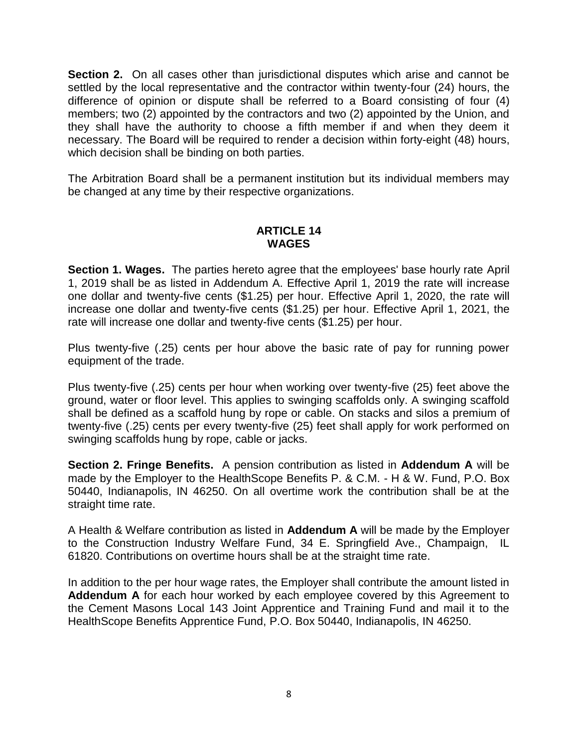**Section 2.** On all cases other than jurisdictional disputes which arise and cannot be settled by the local representative and the contractor within twenty-four (24) hours, the difference of opinion or dispute shall be referred to a Board consisting of four (4) members; two (2) appointed by the contractors and two (2) appointed by the Union, and they shall have the authority to choose a fifth member if and when they deem it necessary. The Board will be required to render a decision within forty-eight (48) hours, which decision shall be binding on both parties.

The Arbitration Board shall be a permanent institution but its individual members may be changed at any time by their respective organizations.

## **ARTICLE 14 WAGES**

**Section 1. Wages.** The parties hereto agree that the employees' base hourly rate April 1, 2019 shall be as listed in Addendum A. Effective April 1, 2019 the rate will increase one dollar and twenty-five cents (\$1.25) per hour. Effective April 1, 2020, the rate will increase one dollar and twenty-five cents (\$1.25) per hour. Effective April 1, 2021, the rate will increase one dollar and twenty-five cents (\$1.25) per hour.

Plus twenty-five (.25) cents per hour above the basic rate of pay for running power equipment of the trade.

Plus twenty-five (.25) cents per hour when working over twenty-five (25) feet above the ground, water or floor level. This applies to swinging scaffolds only. A swinging scaffold shall be defined as a scaffold hung by rope or cable. On stacks and silos a premium of twenty-five (.25) cents per every twenty-five (25) feet shall apply for work performed on swinging scaffolds hung by rope, cable or jacks.

**Section 2. Fringe Benefits.** A pension contribution as listed in **Addendum A** will be made by the Employer to the HealthScope Benefits P. & C.M. - H & W. Fund, P.O. Box 50440, Indianapolis, IN 46250. On all overtime work the contribution shall be at the straight time rate.

A Health & Welfare contribution as listed in **Addendum A** will be made by the Employer to the Construction Industry Welfare Fund, 34 E. Springfield Ave., Champaign, IL 61820. Contributions on overtime hours shall be at the straight time rate.

In addition to the per hour wage rates, the Employer shall contribute the amount listed in **Addendum A** for each hour worked by each employee covered by this Agreement to the Cement Masons Local 143 Joint Apprentice and Training Fund and mail it to the HealthScope Benefits Apprentice Fund, P.O. Box 50440, Indianapolis, IN 46250.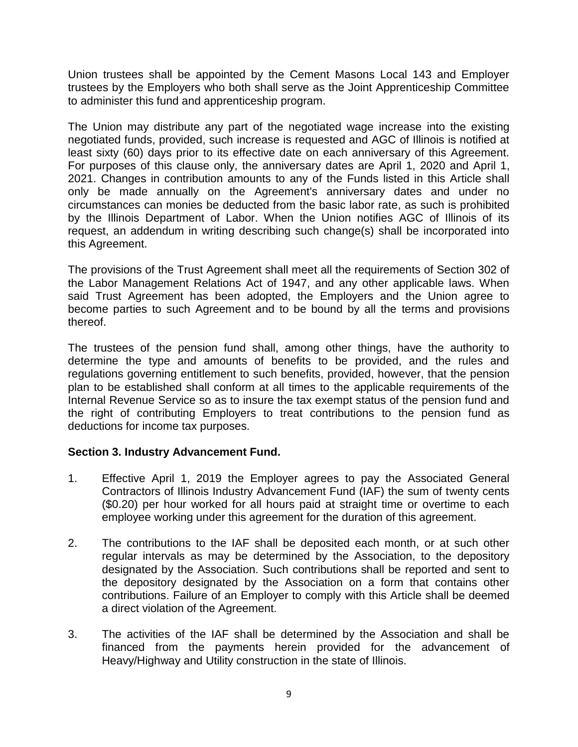Union trustees shall be appointed by the Cement Masons Local 143 and Employer trustees by the Employers who both shall serve as the Joint Apprenticeship Committee to administer this fund and apprenticeship program.

The Union may distribute any part of the negotiated wage increase into the existing negotiated funds, provided, such increase is requested and AGC of Illinois is notified at least sixty (60) days prior to its effective date on each anniversary of this Agreement. For purposes of this clause only, the anniversary dates are April 1, 2020 and April 1, 2021. Changes in contribution amounts to any of the Funds listed in this Article shall only be made annually on the Agreement's anniversary dates and under no circumstances can monies be deducted from the basic labor rate, as such is prohibited by the Illinois Department of Labor. When the Union notifies AGC of Illinois of its request, an addendum in writing describing such change(s) shall be incorporated into this Agreement.

The provisions of the Trust Agreement shall meet all the requirements of Section 302 of the Labor Management Relations Act of 1947, and any other applicable laws. When said Trust Agreement has been adopted, the Employers and the Union agree to become parties to such Agreement and to be bound by all the terms and provisions thereof.

The trustees of the pension fund shall, among other things, have the authority to determine the type and amounts of benefits to be provided, and the rules and regulations governing entitlement to such benefits, provided, however, that the pension plan to be established shall conform at all times to the applicable requirements of the Internal Revenue Service so as to insure the tax exempt status of the pension fund and the right of contributing Employers to treat contributions to the pension fund as deductions for income tax purposes.

## **Section 3. Industry Advancement Fund.**

- 1. Effective April 1, 2019 the Employer agrees to pay the Associated General Contractors of Illinois Industry Advancement Fund (IAF) the sum of twenty cents (\$0.20) per hour worked for all hours paid at straight time or overtime to each employee working under this agreement for the duration of this agreement.
- 2. The contributions to the IAF shall be deposited each month, or at such other regular intervals as may be determined by the Association, to the depository designated by the Association. Such contributions shall be reported and sent to the depository designated by the Association on a form that contains other contributions. Failure of an Employer to comply with this Article shall be deemed a direct violation of the Agreement.
- 3. The activities of the IAF shall be determined by the Association and shall be financed from the payments herein provided for the advancement of Heavy/Highway and Utility construction in the state of Illinois.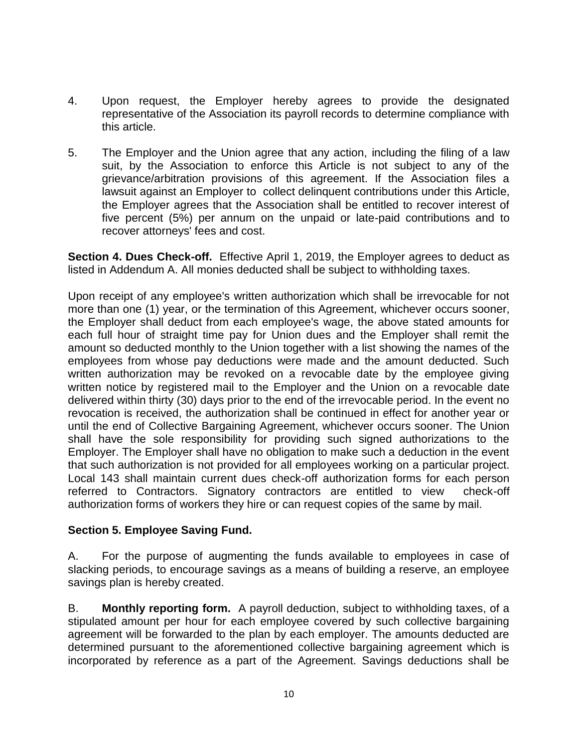- 4. Upon request, the Employer hereby agrees to provide the designated representative of the Association its payroll records to determine compliance with this article.
- 5. The Employer and the Union agree that any action, including the filing of a law suit, by the Association to enforce this Article is not subject to any of the grievance/arbitration provisions of this agreement. If the Association files a lawsuit against an Employer to collect delinquent contributions under this Article, the Employer agrees that the Association shall be entitled to recover interest of five percent (5%) per annum on the unpaid or late-paid contributions and to recover attorneys' fees and cost.

**Section 4. Dues Check-off.** Effective April 1, 2019, the Employer agrees to deduct as listed in Addendum A. All monies deducted shall be subject to withholding taxes.

Upon receipt of any employee's written authorization which shall be irrevocable for not more than one (1) year, or the termination of this Agreement, whichever occurs sooner, the Employer shall deduct from each employee's wage, the above stated amounts for each full hour of straight time pay for Union dues and the Employer shall remit the amount so deducted monthly to the Union together with a list showing the names of the employees from whose pay deductions were made and the amount deducted. Such written authorization may be revoked on a revocable date by the employee giving written notice by registered mail to the Employer and the Union on a revocable date delivered within thirty (30) days prior to the end of the irrevocable period. In the event no revocation is received, the authorization shall be continued in effect for another year or until the end of Collective Bargaining Agreement, whichever occurs sooner. The Union shall have the sole responsibility for providing such signed authorizations to the Employer. The Employer shall have no obligation to make such a deduction in the event that such authorization is not provided for all employees working on a particular project. Local 143 shall maintain current dues check-off authorization forms for each person referred to Contractors. Signatory contractors are entitled to view check-off authorization forms of workers they hire or can request copies of the same by mail.

## **Section 5. Employee Saving Fund.**

A. For the purpose of augmenting the funds available to employees in case of slacking periods, to encourage savings as a means of building a reserve, an employee savings plan is hereby created.

B. **Monthly reporting form.** A payroll deduction, subject to withholding taxes, of a stipulated amount per hour for each employee covered by such collective bargaining agreement will be forwarded to the plan by each employer. The amounts deducted are determined pursuant to the aforementioned collective bargaining agreement which is incorporated by reference as a part of the Agreement. Savings deductions shall be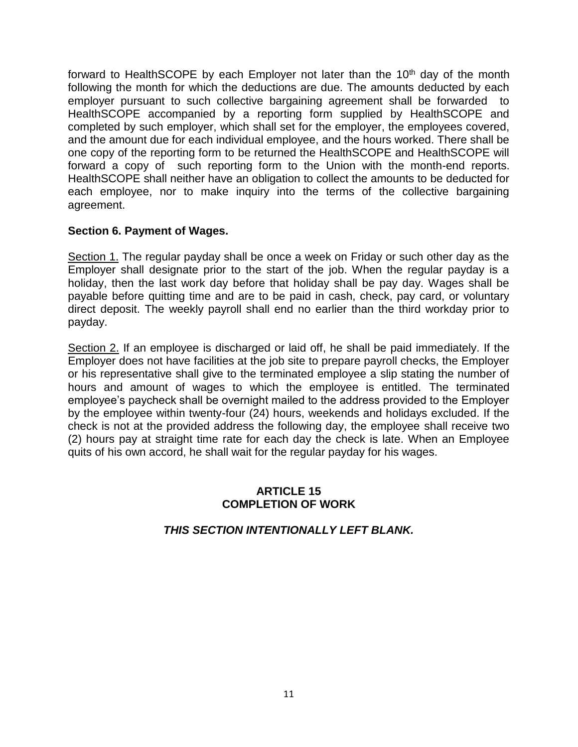forward to HealthSCOPE by each Employer not later than the  $10<sup>th</sup>$  day of the month following the month for which the deductions are due. The amounts deducted by each employer pursuant to such collective bargaining agreement shall be forwarded to HealthSCOPE accompanied by a reporting form supplied by HealthSCOPE and completed by such employer, which shall set for the employer, the employees covered, and the amount due for each individual employee, and the hours worked. There shall be one copy of the reporting form to be returned the HealthSCOPE and HealthSCOPE will forward a copy of such reporting form to the Union with the month-end reports. HealthSCOPE shall neither have an obligation to collect the amounts to be deducted for each employee, nor to make inquiry into the terms of the collective bargaining agreement.

## **Section 6. Payment of Wages.**

Section 1. The regular payday shall be once a week on Friday or such other day as the Employer shall designate prior to the start of the job. When the regular payday is a holiday, then the last work day before that holiday shall be pay day. Wages shall be payable before quitting time and are to be paid in cash, check, pay card, or voluntary direct deposit. The weekly payroll shall end no earlier than the third workday prior to payday.

Section 2. If an employee is discharged or laid off, he shall be paid immediately. If the Employer does not have facilities at the job site to prepare payroll checks, the Employer or his representative shall give to the terminated employee a slip stating the number of hours and amount of wages to which the employee is entitled. The terminated employee's paycheck shall be overnight mailed to the address provided to the Employer by the employee within twenty-four (24) hours, weekends and holidays excluded. If the check is not at the provided address the following day, the employee shall receive two (2) hours pay at straight time rate for each day the check is late. When an Employee quits of his own accord, he shall wait for the regular payday for his wages.

## **ARTICLE 15 COMPLETION OF WORK**

## *THIS SECTION INTENTIONALLY LEFT BLANK.*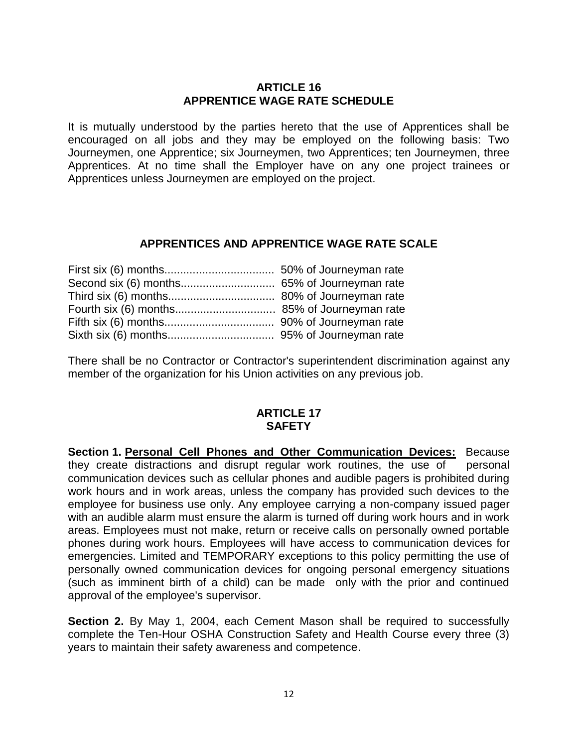## **ARTICLE 16 APPRENTICE WAGE RATE SCHEDULE**

It is mutually understood by the parties hereto that the use of Apprentices shall be encouraged on all jobs and they may be employed on the following basis: Two Journeymen, one Apprentice; six Journeymen, two Apprentices; ten Journeymen, three Apprentices. At no time shall the Employer have on any one project trainees or Apprentices unless Journeymen are employed on the project.

## **APPRENTICES AND APPRENTICE WAGE RATE SCALE**

There shall be no Contractor or Contractor's superintendent discrimination against any member of the organization for his Union activities on any previous job.

## **ARTICLE 17 SAFETY**

**Section 1. Personal Cell Phones and Other Communication Devices:** Because they create distractions and disrupt regular work routines, the use of personal communication devices such as cellular phones and audible pagers is prohibited during work hours and in work areas, unless the company has provided such devices to the employee for business use only. Any employee carrying a non-company issued pager with an audible alarm must ensure the alarm is turned off during work hours and in work areas. Employees must not make, return or receive calls on personally owned portable phones during work hours. Employees will have access to communication devices for emergencies. Limited and TEMPORARY exceptions to this policy permitting the use of personally owned communication devices for ongoing personal emergency situations (such as imminent birth of a child) can be made only with the prior and continued approval of the employee's supervisor.

**Section 2.** By May 1, 2004, each Cement Mason shall be required to successfully complete the Ten-Hour OSHA Construction Safety and Health Course every three (3) years to maintain their safety awareness and competence.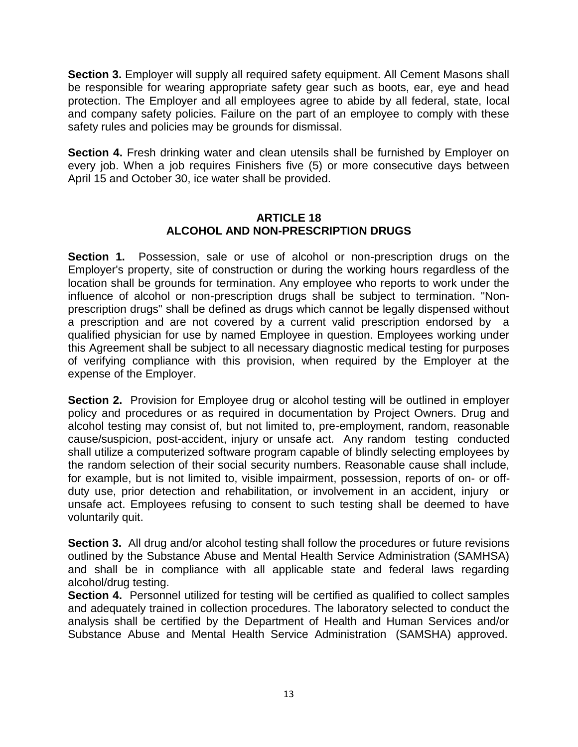**Section 3.** Employer will supply all required safety equipment. All Cement Masons shall be responsible for wearing appropriate safety gear such as boots, ear, eye and head protection. The Employer and all employees agree to abide by all federal, state, local and company safety policies. Failure on the part of an employee to comply with these safety rules and policies may be grounds for dismissal.

**Section 4.** Fresh drinking water and clean utensils shall be furnished by Employer on every job. When a job requires Finishers five (5) or more consecutive days between April 15 and October 30, ice water shall be provided.

## **ARTICLE 18 ALCOHOL AND NON-PRESCRIPTION DRUGS**

**Section 1.** Possession, sale or use of alcohol or non-prescription drugs on the Employer's property, site of construction or during the working hours regardless of the location shall be grounds for termination. Any employee who reports to work under the influence of alcohol or non-prescription drugs shall be subject to termination. "Nonprescription drugs" shall be defined as drugs which cannot be legally dispensed without a prescription and are not covered by a current valid prescription endorsed by a qualified physician for use by named Employee in question. Employees working under this Agreement shall be subject to all necessary diagnostic medical testing for purposes of verifying compliance with this provision, when required by the Employer at the expense of the Employer.

**Section 2.** Provision for Employee drug or alcohol testing will be outlined in employer policy and procedures or as required in documentation by Project Owners. Drug and alcohol testing may consist of, but not limited to, pre-employment, random, reasonable cause/suspicion, post-accident, injury or unsafe act. Any random testing conducted shall utilize a computerized software program capable of blindly selecting employees by the random selection of their social security numbers. Reasonable cause shall include, for example, but is not limited to, visible impairment, possession, reports of on- or offduty use, prior detection and rehabilitation, or involvement in an accident, injury or unsafe act. Employees refusing to consent to such testing shall be deemed to have voluntarily quit.

**Section 3.** All drug and/or alcohol testing shall follow the procedures or future revisions outlined by the Substance Abuse and Mental Health Service Administration (SAMHSA) and shall be in compliance with all applicable state and federal laws regarding alcohol/drug testing.

**Section 4.** Personnel utilized for testing will be certified as qualified to collect samples and adequately trained in collection procedures. The laboratory selected to conduct the analysis shall be certified by the Department of Health and Human Services and/or Substance Abuse and Mental Health Service Administration (SAMSHA) approved.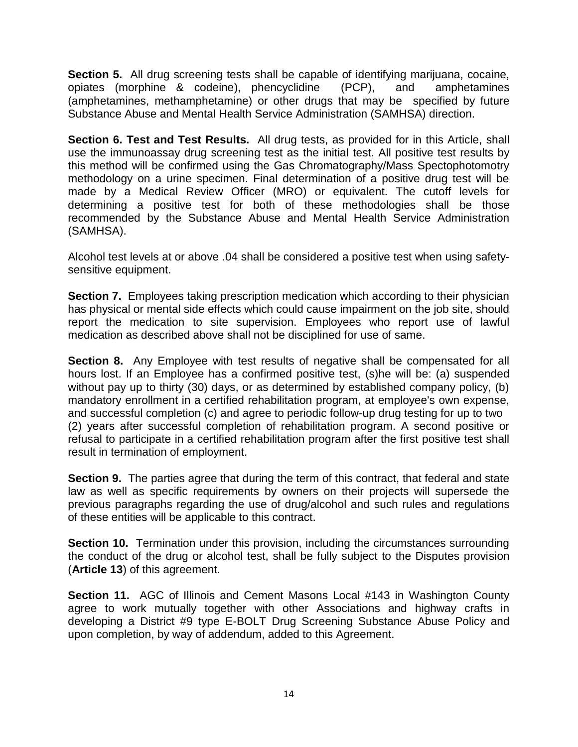**Section 5.** All drug screening tests shall be capable of identifying marijuana, cocaine, opiates (morphine & codeine), phencyclidine (PCP), and amphetamines (amphetamines, methamphetamine) or other drugs that may be specified by future Substance Abuse and Mental Health Service Administration (SAMHSA) direction.

**Section 6. Test and Test Results.** All drug tests, as provided for in this Article, shall use the immunoassay drug screening test as the initial test. All positive test results by this method will be confirmed using the Gas Chromatography/Mass Spectophotomotry methodology on a urine specimen. Final determination of a positive drug test will be made by a Medical Review Officer (MRO) or equivalent. The cutoff levels for determining a positive test for both of these methodologies shall be those recommended by the Substance Abuse and Mental Health Service Administration (SAMHSA).

Alcohol test levels at or above .04 shall be considered a positive test when using safetysensitive equipment.

**Section 7.** Employees taking prescription medication which according to their physician has physical or mental side effects which could cause impairment on the job site, should report the medication to site supervision. Employees who report use of lawful medication as described above shall not be disciplined for use of same.

**Section 8.** Any Employee with test results of negative shall be compensated for all hours lost. If an Employee has a confirmed positive test, (s)he will be: (a) suspended without pay up to thirty (30) days, or as determined by established company policy, (b) mandatory enrollment in a certified rehabilitation program, at employee's own expense, and successful completion (c) and agree to periodic follow-up drug testing for up to two (2) years after successful completion of rehabilitation program. A second positive or refusal to participate in a certified rehabilitation program after the first positive test shall result in termination of employment.

**Section 9.** The parties agree that during the term of this contract, that federal and state law as well as specific requirements by owners on their projects will supersede the previous paragraphs regarding the use of drug/alcohol and such rules and regulations of these entities will be applicable to this contract.

**Section 10.** Termination under this provision, including the circumstances surrounding the conduct of the drug or alcohol test, shall be fully subject to the Disputes provision (**Article 13**) of this agreement.

**Section 11.** AGC of Illinois and Cement Masons Local #143 in Washington County agree to work mutually together with other Associations and highway crafts in developing a District #9 type E-BOLT Drug Screening Substance Abuse Policy and upon completion, by way of addendum, added to this Agreement.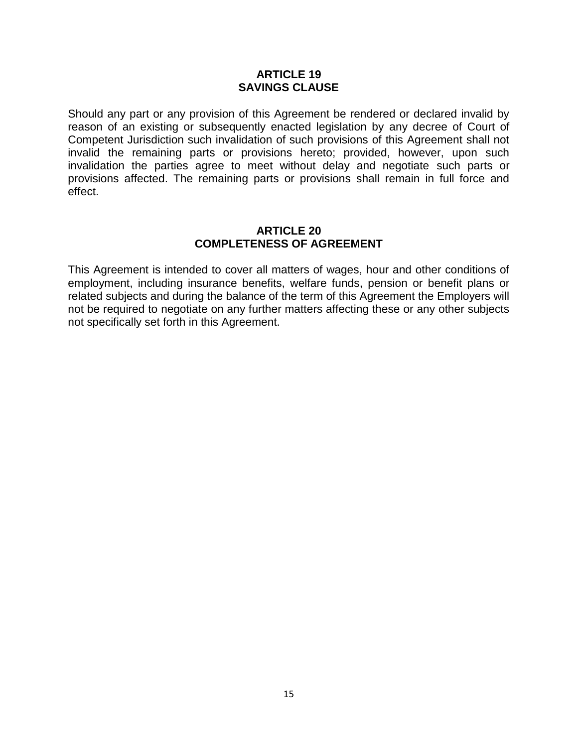#### **ARTICLE 19 SAVINGS CLAUSE**

Should any part or any provision of this Agreement be rendered or declared invalid by reason of an existing or subsequently enacted legislation by any decree of Court of Competent Jurisdiction such invalidation of such provisions of this Agreement shall not invalid the remaining parts or provisions hereto; provided, however, upon such invalidation the parties agree to meet without delay and negotiate such parts or provisions affected. The remaining parts or provisions shall remain in full force and effect.

#### **ARTICLE 20 COMPLETENESS OF AGREEMENT**

This Agreement is intended to cover all matters of wages, hour and other conditions of employment, including insurance benefits, welfare funds, pension or benefit plans or related subjects and during the balance of the term of this Agreement the Employers will not be required to negotiate on any further matters affecting these or any other subjects not specifically set forth in this Agreement.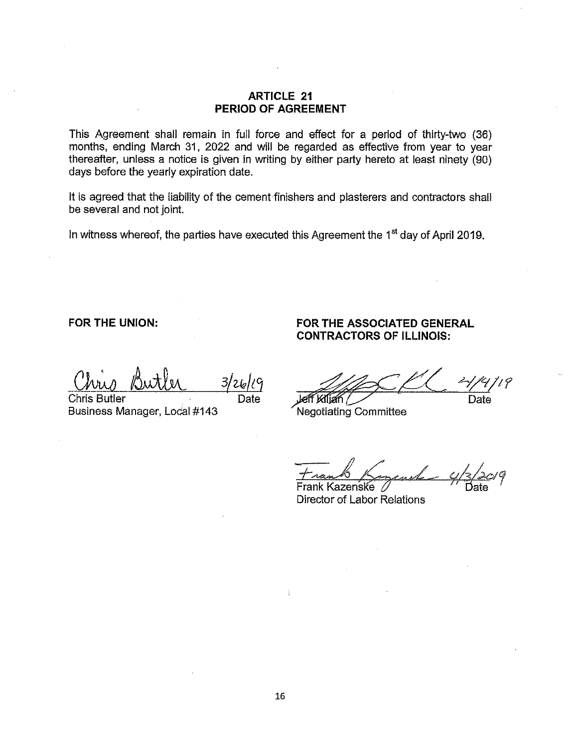#### **ARTICLE 21** PERIOD OF AGREEMENT

This Agreement shall remain in full force and effect for a period of thirty-two (36) months, ending March 31, 2022 and will be regarded as effective from year to year thereafter, unless a notice is given in writing by either party hereto at least ninety (90) days before the yearly expiration date.

It is agreed that the liability of the cement finishers and plasterers and contractors shall be several and not joint.

In witness whereof, the parties have executed this Agreement the 1<sup>st</sup> day of April 2019.

FOR THE UNION:

Chris Butler Business Manager, Local #143

Date

FOR THE ASSOCIATED GENERAL **CONTRACTORS OF ILLINOIS:** 

eff Kilian / Date

Negotiating Committee

Frank Kazenske Director of Labor Relations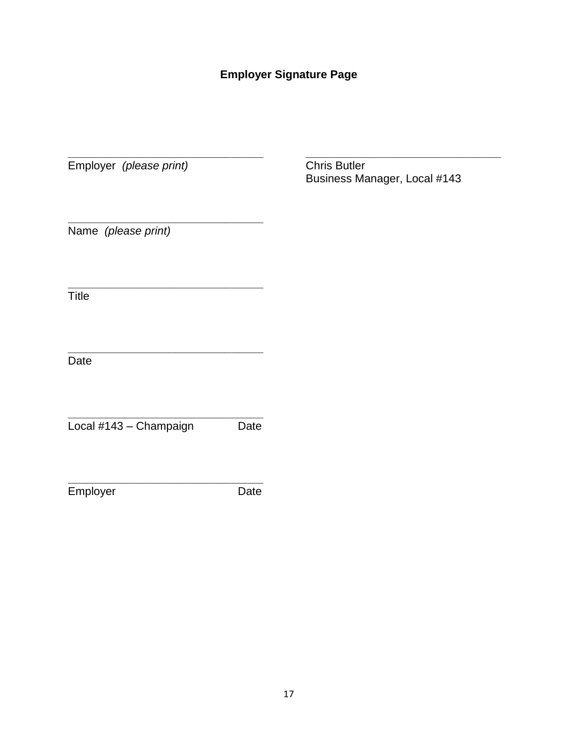## **Employer Signature Page**

**\_\_\_\_\_\_\_\_\_\_\_\_\_\_\_\_\_\_\_\_\_\_\_\_\_\_\_\_\_\_\_ \_\_\_\_\_\_\_\_\_\_\_\_\_\_\_\_\_\_\_\_\_\_\_\_\_\_\_\_\_\_\_**

Employer *(please print)* Chris Butler

**\_\_\_\_\_\_\_\_\_\_\_\_\_\_\_\_\_\_\_\_\_\_\_\_\_\_\_\_\_\_\_**

**\_\_\_\_\_\_\_\_\_\_\_\_\_\_\_\_\_\_\_\_\_\_\_\_\_\_\_\_\_\_\_**

**\_\_\_\_\_\_\_\_\_\_\_\_\_\_\_\_\_\_\_\_\_\_\_\_\_\_\_\_\_\_\_**

**\_\_\_\_\_\_\_\_\_\_\_\_\_\_\_\_\_\_\_\_\_\_\_\_\_\_\_\_\_\_\_**

Business Manager, Local #143

Name *(please print)*

**Title** 

Date

**\_\_\_\_\_\_\_\_\_\_\_\_\_\_\_\_\_\_\_\_\_\_\_\_\_\_\_\_\_\_\_** Local #143 – Champaign Date

Employer Date